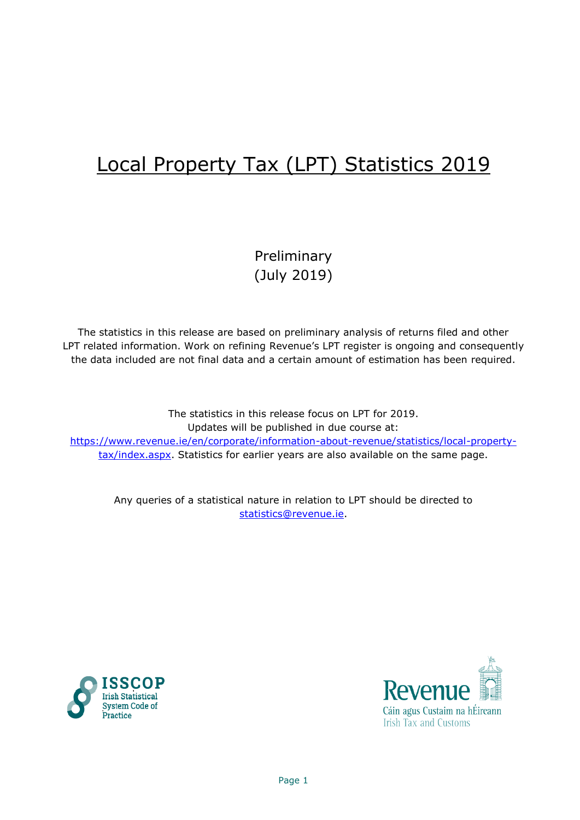# Local Property Tax (LPT) Statistics 2019

Preliminary (July 2019)

The statistics in this release are based on preliminary analysis of returns filed and other LPT related information. Work on refining Revenue's LPT register is ongoing and consequently the data included are not final data and a certain amount of estimation has been required.

The statistics in this release focus on LPT for 2019. Updates will be published in due course at: [https://www.revenue.ie/en/corporate/information-about-revenue/statistics/local-property](https://www.revenue.ie/en/corporate/information-about-revenue/statistics/local-property-tax/index.aspx)[tax/index.aspx.](https://www.revenue.ie/en/corporate/information-about-revenue/statistics/local-property-tax/index.aspx) Statistics for earlier years are also available on the same page.

Any queries of a statistical nature in relation to LPT should be directed to [statistics@revenue.ie.](mailto:statistics@revenue.ie)



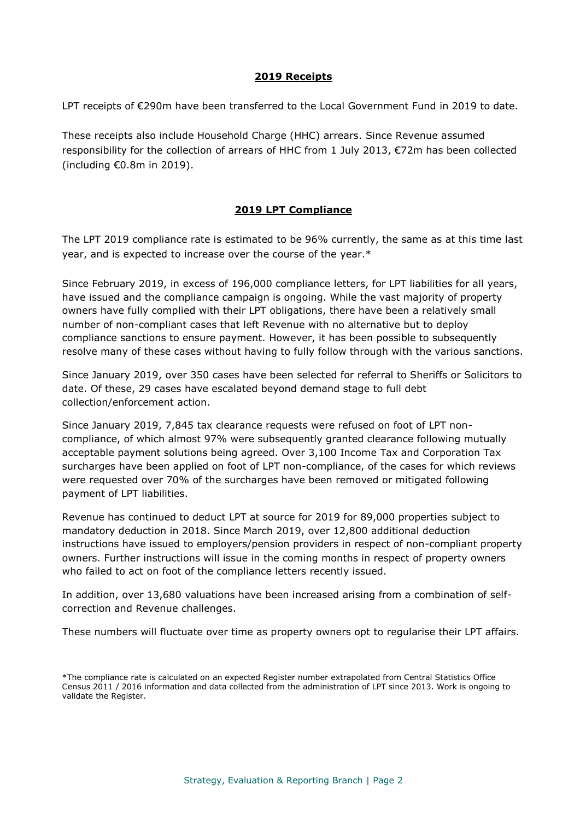# **2019 Receipts**

LPT receipts of €290m have been transferred to the Local Government Fund in 2019 to date.

These receipts also include Household Charge (HHC) arrears. Since Revenue assumed responsibility for the collection of arrears of HHC from 1 July 2013,  $\epsilon$ 72m has been collected (including €0.8m in 2019).

# **2019 LPT Compliance**

The LPT 2019 compliance rate is estimated to be 96% currently, the same as at this time last year, and is expected to increase over the course of the year.\*

Since February 2019, in excess of 196,000 compliance letters, for LPT liabilities for all years, have issued and the compliance campaign is ongoing. While the vast majority of property owners have fully complied with their LPT obligations, there have been a relatively small number of non-compliant cases that left Revenue with no alternative but to deploy compliance sanctions to ensure payment. However, it has been possible to subsequently resolve many of these cases without having to fully follow through with the various sanctions.

Since January 2019, over 350 cases have been selected for referral to Sheriffs or Solicitors to date. Of these, 29 cases have escalated beyond demand stage to full debt collection/enforcement action.

Since January 2019, 7,845 tax clearance requests were refused on foot of LPT noncompliance, of which almost 97% were subsequently granted clearance following mutually acceptable payment solutions being agreed. Over 3,100 Income Tax and Corporation Tax surcharges have been applied on foot of LPT non-compliance, of the cases for which reviews were requested over 70% of the surcharges have been removed or mitigated following payment of LPT liabilities.

Revenue has continued to deduct LPT at source for 2019 for 89,000 properties subject to mandatory deduction in 2018. Since March 2019, over 12,800 additional deduction instructions have issued to employers/pension providers in respect of non-compliant property owners. Further instructions will issue in the coming months in respect of property owners who failed to act on foot of the compliance letters recently issued.

In addition, over 13,680 valuations have been increased arising from a combination of selfcorrection and Revenue challenges.

These numbers will fluctuate over time as property owners opt to regularise their LPT affairs.

<sup>\*</sup>The compliance rate is calculated on an expected Register number extrapolated from Central Statistics Office Census 2011 / 2016 information and data collected from the administration of LPT since 2013. Work is ongoing to validate the Register.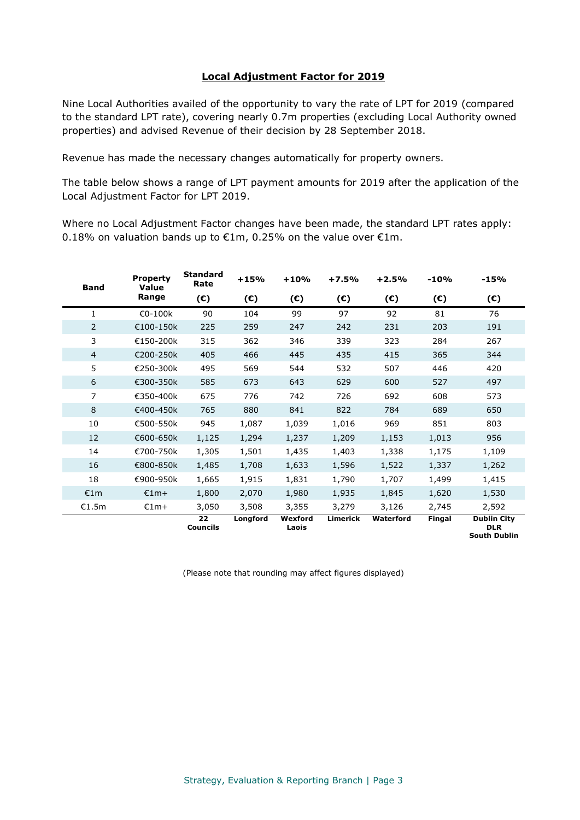## **Local Adjustment Factor for 2019**

Nine Local Authorities availed of the opportunity to vary the rate of LPT for 2019 (compared to the standard LPT rate), covering nearly 0.7m properties (excluding Local Authority owned properties) and advised Revenue of their decision by 28 September 2018.

Revenue has made the necessary changes automatically for property owners.

The table below shows a range of LPT payment amounts for 2019 after the application of the Local Adjustment Factor for LPT 2019.

Where no Local Adjustment Factor changes have been made, the standard LPT rates apply: 0.18% on valuation bands up to  $\epsilon$ 1m, 0.25% on the value over  $\epsilon$ 1m.

| <b>Band</b>    | <b>Property</b><br><b>Value</b> | <b>Standard</b><br>Rate | $+15%$   | $+10%$           | $+7.5%$         | $+2.5%$      | $-10%$       | $-15%$                                                  |
|----------------|---------------------------------|-------------------------|----------|------------------|-----------------|--------------|--------------|---------------------------------------------------------|
|                | Range                           | $(\epsilon)$            | (E)      | (E)              | $(\epsilon)$    | $(\epsilon)$ | $(\epsilon)$ | $(\epsilon)$                                            |
| 1              | €0-100k                         | 90                      | 104      | 99               | 97              | 92           | 81           | 76                                                      |
| $\overline{2}$ | €100-150k                       | 225                     | 259      | 247              | 242             | 231          | 203          | 191                                                     |
| 3              | €150-200k                       | 315                     | 362      | 346              | 339             | 323          | 284          | 267                                                     |
| 4              | €200-250k                       | 405                     | 466      | 445              | 435             | 415          | 365          | 344                                                     |
| 5              | €250-300k                       | 495                     | 569      | 544              | 532             | 507          | 446          | 420                                                     |
| 6              | €300-350k                       | 585                     | 673      | 643              | 629             | 600          | 527          | 497                                                     |
| 7              | €350-400k                       | 675                     | 776      | 742              | 726             | 692          | 608          | 573                                                     |
| 8              | €400-450k                       | 765                     | 880      | 841              | 822             | 784          | 689          | 650                                                     |
| 10             | €500-550k                       | 945                     | 1,087    | 1,039            | 1,016           | 969          | 851          | 803                                                     |
| 12             | €600-650k                       | 1,125                   | 1,294    | 1,237            | 1,209           | 1,153        | 1,013        | 956                                                     |
| 14             | €700-750k                       | 1,305                   | 1,501    | 1,435            | 1,403           | 1,338        | 1,175        | 1,109                                                   |
| 16             | €800-850k                       | 1,485                   | 1,708    | 1,633            | 1,596           | 1,522        | 1,337        | 1,262                                                   |
| 18             | €900-950k                       | 1,665                   | 1,915    | 1,831            | 1,790           | 1,707        | 1,499        | 1,415                                                   |
| €1m            | $£1m+$                          | 1,800                   | 2,070    | 1,980            | 1,935           | 1,845        | 1,620        | 1,530                                                   |
| €1.5m          | $£1m+$                          | 3,050                   | 3,508    | 3,355            | 3,279           | 3,126        | 2,745        | 2,592                                                   |
|                |                                 | 22<br><b>Councils</b>   | Longford | Wexford<br>Laois | <b>Limerick</b> | Waterford    | Fingal       | <b>Dublin City</b><br><b>DLR</b><br><b>South Dublin</b> |

(Please note that rounding may affect figures displayed)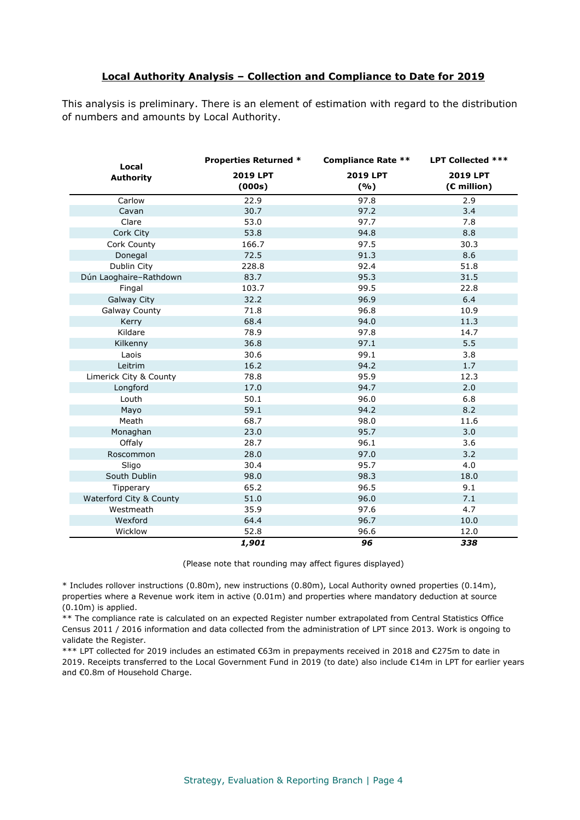### **Local Authority Analysis – Collection and Compliance to Date for 2019**

This analysis is preliminary. There is an element of estimation with regard to the distribution of numbers and amounts by Local Authority.

| Local                   | <b>Properties Returned *</b> | <b>Compliance Rate **</b> | <b>LPT Collected ***</b>         |
|-------------------------|------------------------------|---------------------------|----------------------------------|
| <b>Authority</b>        | 2019 LPT<br>(000s)           | 2019 LPT<br>(%)           | <b>2019 LPT</b><br>$(E$ million) |
| Carlow                  | 22.9                         | 97.8                      | 2.9                              |
| Cavan                   | 30.7                         | 97.2                      | 3.4                              |
| Clare                   | 53.0                         | 97.7                      | 7.8                              |
| Cork City               | 53.8                         | 94.8                      | 8.8                              |
| Cork County             | 166.7                        | 97.5                      | 30.3                             |
| Donegal                 | 72.5                         | 91.3                      | 8.6                              |
| Dublin City             | 228.8                        | 92.4                      | 51.8                             |
| Dún Laoghaire-Rathdown  | 83.7                         | 95.3                      | 31.5                             |
| Fingal                  | 103.7                        | 99.5                      | 22.8                             |
| <b>Galway City</b>      | 32.2                         | 96.9                      | 6.4                              |
| <b>Galway County</b>    | 71.8                         | 96.8                      | 10.9                             |
| Kerry                   | 68.4                         | 94.0                      | 11.3                             |
| Kildare                 | 78.9                         | 97.8                      | 14.7                             |
| Kilkenny                | 36.8                         | 97.1                      | 5.5                              |
| Laois                   | 30.6                         | 99.1                      | 3.8                              |
| Leitrim                 | 16.2                         | 94.2                      | 1.7                              |
| Limerick City & County  | 78.8                         | 95.9                      | 12.3                             |
| Longford                | 17.0                         | 94.7                      | 2.0                              |
| Louth                   | 50.1                         | 96.0                      | 6.8                              |
| Mayo                    | 59.1                         | 94.2                      | 8.2                              |
| Meath                   | 68.7                         | 98.0                      | 11.6                             |
| Monaghan                | 23.0                         | 95.7                      | 3.0                              |
| Offaly                  | 28.7                         | 96.1                      | 3.6                              |
| Roscommon               | 28.0                         | 97.0                      | 3.2                              |
| Sligo                   | 30.4                         | 95.7                      | 4.0                              |
| South Dublin            | 98.0                         | 98.3                      | 18.0                             |
| Tipperary               | 65.2                         | 96.5                      | 9.1                              |
| Waterford City & County | 51.0                         | 96.0                      | 7.1                              |
| Westmeath               | 35.9                         | 97.6                      | 4.7                              |
| Wexford                 | 64.4                         | 96.7                      | 10.0                             |
| Wicklow                 | 52.8                         | 96.6                      | 12.0                             |
|                         | 1,901                        | 96                        | 338                              |

(Please note that rounding may affect figures displayed)

\* Includes rollover instructions (0.80m), new instructions (0.80m), Local Authority owned properties (0.14m), properties where a Revenue work item in active (0.01m) and properties where mandatory deduction at source (0.10m) is applied.

\*\* The compliance rate is calculated on an expected Register number extrapolated from Central Statistics Office Census 2011 / 2016 information and data collected from the administration of LPT since 2013. Work is ongoing to validate the Register.

\*\*\* LPT collected for 2019 includes an estimated €63m in prepayments received in 2018 and €275m to date in 2019. Receipts transferred to the Local Government Fund in 2019 (to date) also include €14m in LPT for earlier years and €0.8m of Household Charge.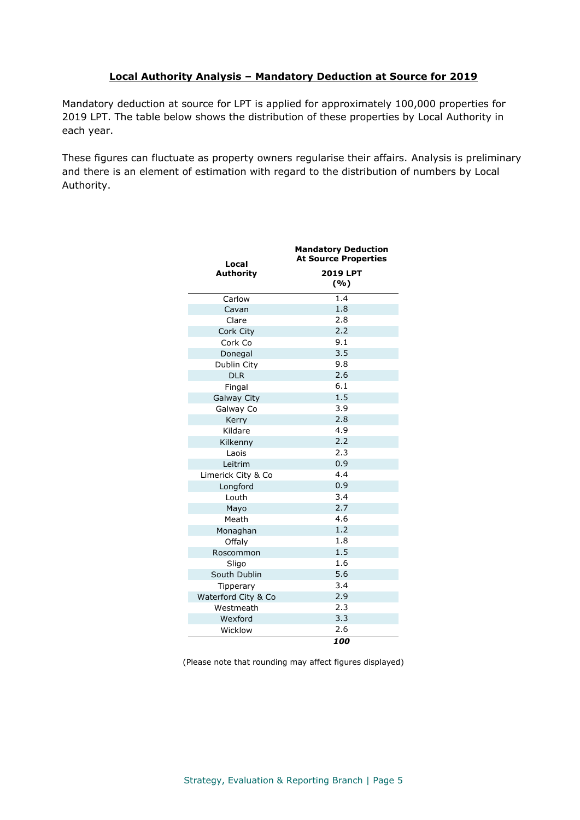# **Local Authority Analysis – Mandatory Deduction at Source for 2019**

Mandatory deduction at source for LPT is applied for approximately 100,000 properties for 2019 LPT. The table below shows the distribution of these properties by Local Authority in each year.

These figures can fluctuate as property owners regularise their affairs. Analysis is preliminary and there is an element of estimation with regard to the distribution of numbers by Local Authority.

| Local               | <b>Mandatory Deduction</b><br><b>At Source Properties</b> |  |  |
|---------------------|-----------------------------------------------------------|--|--|
| <b>Authority</b>    | <b>2019 LPT</b><br>( %)                                   |  |  |
| Carlow              | 1.4                                                       |  |  |
| Cavan               | 1.8                                                       |  |  |
| Clare               | 2.8                                                       |  |  |
| Cork City           | 2.2                                                       |  |  |
| Cork Co             | 9.1                                                       |  |  |
| Donegal             | 3.5                                                       |  |  |
| Dublin City         | 9.8                                                       |  |  |
| <b>DLR</b>          | 2.6                                                       |  |  |
| Fingal              | 6.1                                                       |  |  |
| <b>Galway City</b>  | 1.5                                                       |  |  |
| Galway Co           | 3.9                                                       |  |  |
| Kerry               | 2.8                                                       |  |  |
| Kildare             | 4.9                                                       |  |  |
| Kilkenny            | 2.2                                                       |  |  |
| Laois               | 2.3                                                       |  |  |
| Leitrim             | 0.9                                                       |  |  |
| Limerick City & Co  | 4.4                                                       |  |  |
| Longford            | 0.9                                                       |  |  |
| Louth               | 3.4                                                       |  |  |
| Mayo                | 2.7                                                       |  |  |
| Meath               | 4.6                                                       |  |  |
| Monaghan            | 1.2                                                       |  |  |
| Offaly              | 1.8                                                       |  |  |
| Roscommon           | 1.5                                                       |  |  |
| Sligo               | 1.6                                                       |  |  |
| South Dublin        | 5.6                                                       |  |  |
| Tipperary           | 3.4                                                       |  |  |
| Waterford City & Co | 2.9                                                       |  |  |
| Westmeath           | 2.3                                                       |  |  |
| Wexford             | 3.3                                                       |  |  |
| Wicklow             | 2.6                                                       |  |  |
|                     | 100                                                       |  |  |

(Please note that rounding may affect figures displayed)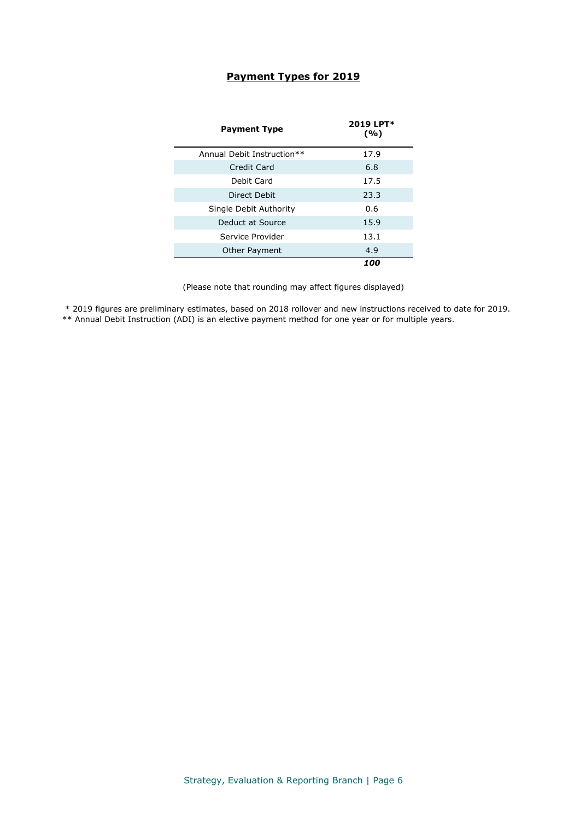## **Payment Types for 2019**

| <b>Payment Type</b>        | 2019 LPT*<br>(%) |
|----------------------------|------------------|
| Annual Debit Instruction** | 17.9             |
| Credit Card                | 6.8              |
| Debit Card                 | 17.5             |
| Direct Debit               | 23.3             |
| Single Debit Authority     | 0.6              |
| Deduct at Source           | 15.9             |
| Service Provider           | 13.1             |
| Other Payment              | 4.9              |
|                            | 100              |

(Please note that rounding may affect figures displayed)

\* 2019 figures are preliminary estimates, based on 2018 rollover and new instructions received to date for 2019.

\*\* Annual Debit Instruction (ADI) is an elective payment method for one year or for multiple years.